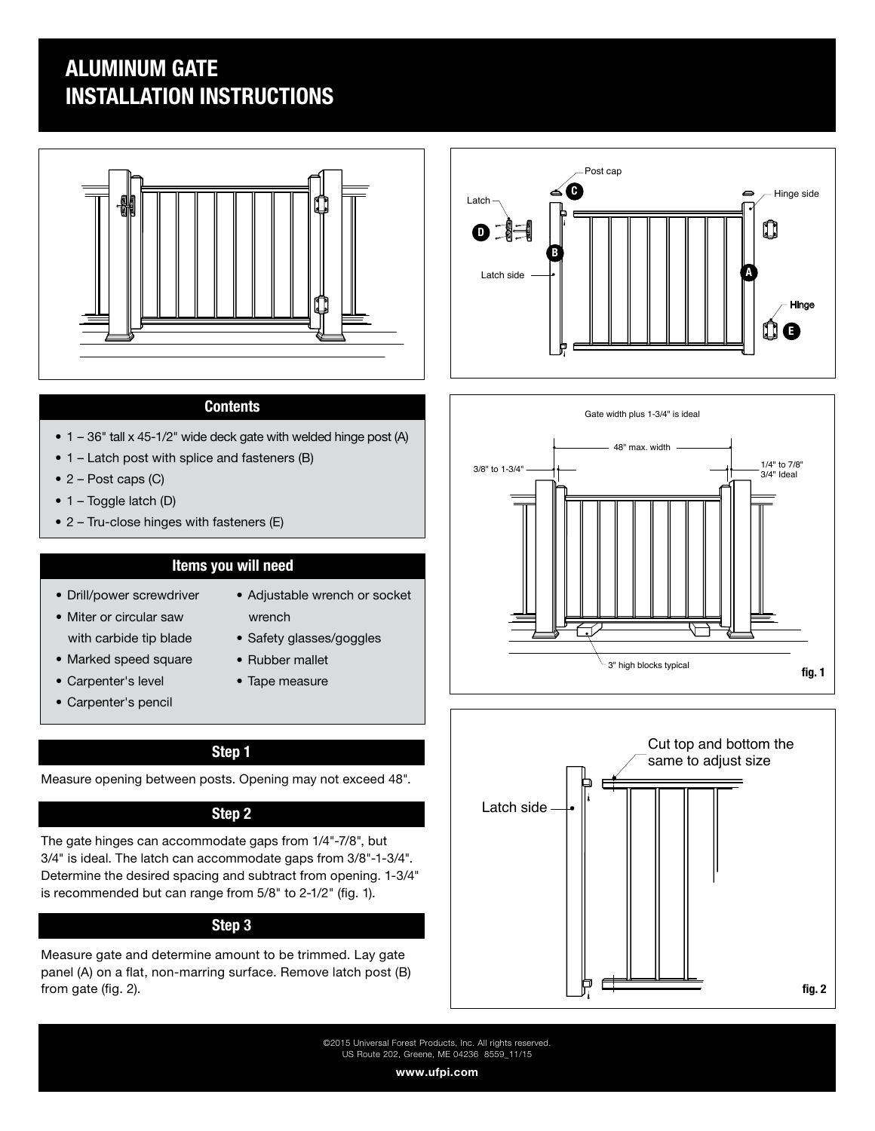# ALUMINUM GATE INSTALLATION INSTRUCTIONS



## **Contents**

- 1 36" tall x 45-1/2" wide deck gate with welded hinge post (A)
- 1 Latch post with splice and fasteners (B)
- $\bullet$  2 Post caps (C)
- 1 Toggle latch (D)
- 2 Tru-close hinges with fasteners (E)

# Items you will need

- Drill/power screwdriver
- Miter or circular saw with carbide tip blade
- Marked speed square
- Carpenter's level
- Carpenter's pencil
- Adjustable wrench or socket
	- wrench
	- Safety glasses/goggles
	- Rubber mallet
	- Tape measure

## Step 1

Measure opening between posts. Opening may not exceed 48".

### Step 2

The gate hinges can accommodate gaps from 1/4"-7/8", but 3/4" is ideal. The latch can accommodate gaps from 3/8"-1-3/4". Determine the desired spacing and subtract from opening. 1-3/4" is recommended but can range from 5/8" to 2-1/2" (fig. 1).

## Step 3

Measure gate and determine amount to be trimmed. Lay gate panel (A) on a flat, non-marring surface. Remove latch post (B) from gate (fig. 2).







©2015 Universal Forest Products, Inc. All rights reserved. US Route 202, Greene, ME 04236 8559\_11/15

www.ufpi.com